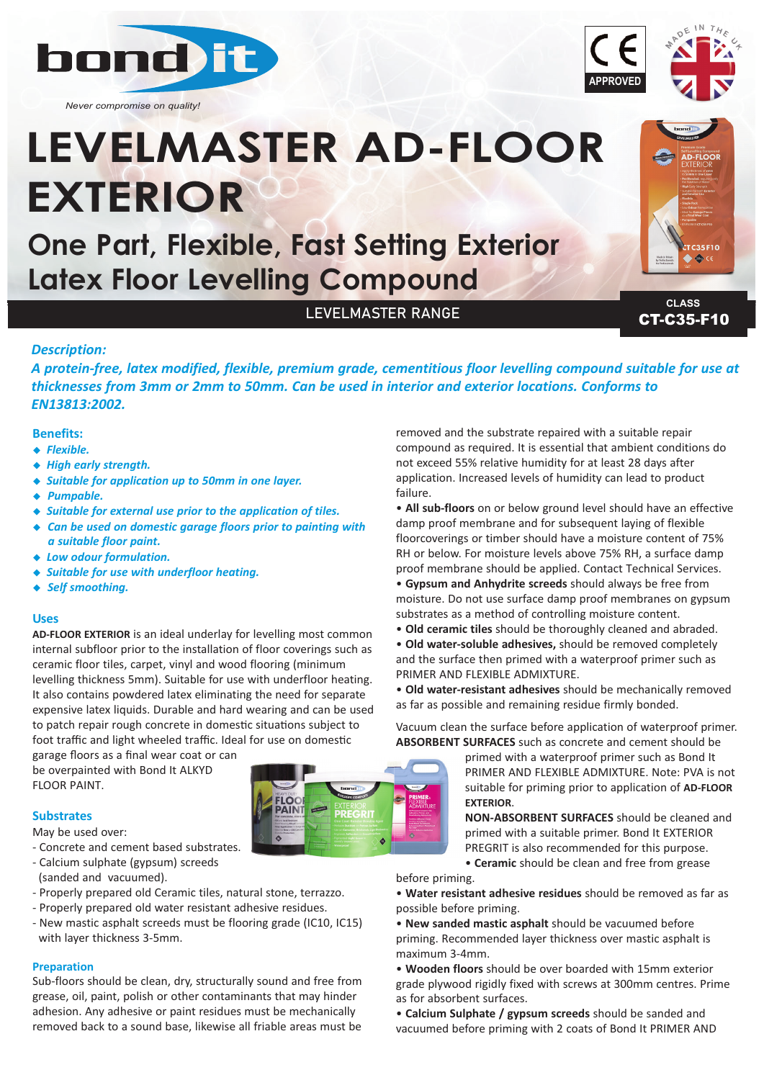

*Never compromise on quality!*

# **LEVELMASTER AD-FLOOR EXTERIOR**

**One Part, Flexible, Fast Setting Exterior Latex Floor Levelling Compound**

LEVELMASTER RANGE

**CT-C35-F10 CLASS**

35F10

# *Description:*

*A protein‐free, latex modified, flexible, premium grade, cementitious floor levelling compound suitable for use at thicknesses from 3mm or 2mm to 50mm. Can be used in interior and exterior locations. Conforms to EN13813:2002.*

## **Benefits:**

- **+** Flexible.
- ◆ High early strength.
- <sup>u</sup> *Suitable for application up to 50mm in one layer.*
- ◆ *Pumpable.*
- ◆ Suitable for external use prior to the application of tiles.
- ◆ Can be used on domestic garage floors prior to painting with *a suitable floor paint.*
- ◆ Low odour formulation.
- ◆ *Suitable for use with underfloor heating.*
- ◆ *Self smoothing.*

#### **Uses**

**AD-FLOOR EXTERIOR** is an ideal underlay for levelling most common internal subfloor prior to the installation of floor coverings such as ceramic floor tiles, carpet, vinyl and wood flooring (minimum levelling thickness 5mm). Suitable for use with underfloor heating. It also contains powdered latex eliminating the need for separate expensive latex liquids. Durable and hard wearing and can be used to patch repair rough concrete in domestic situations subject to foot traffic and light wheeled traffic. Ideal for use on domestic

garage floors as a final wear coat or can be overpainted with Bond It ALKYD FLOOR PAINT.

#### **Substrates**

May be used over:

- Concrete and cement based substrates.
- Calcium sulphate (gypsum) screeds
- (sanded and vacuumed).
- Properly prepared old Ceramic tiles, natural stone, terrazzo.
- Properly prepared old water resistant adhesive residues.
- New mastic asphalt screeds must be flooring grade (IC10, IC15) with layer thickness 3-5mm.

#### **Preparation**

Sub-floors should be clean, dry, structurally sound and free from grease, oil, paint, polish or other contaminants that may hinder adhesion. Any adhesive or paint residues must be mechanically removed back to a sound base, likewise all friable areas must be

removed and the substrate repaired with a suitable repair compound as required. It is essential that ambient conditions do not exceed 55% relative humidity for at least 28 days after application. Increased levels of humidity can lead to product failure.

• **All sub-floors** on or below ground level should have an effective damp proof membrane and for subsequent laying of flexible floorcoverings or timber should have a moisture content of 75% RH or below. For moisture levels above 75% RH, a surface damp proof membrane should be applied. Contact Technical Services.

• **Gypsum and Anhydrite screeds** should always be free from moisture. Do not use surface damp proof membranes on gypsum substrates as a method of controlling moisture content.

- **Old ceramic tiles** should be thoroughly cleaned and abraded.
- **Old water-soluble adhesives,** should be removed completely and the surface then primed with a waterproof primer such as PRIMER AND FLEXIBLE ADMIXTURE.

• **Old water-resistant adhesives** should be mechanically removed as far as possible and remaining residue firmly bonded.

Vacuum clean the surface before application of waterproof primer. **ABSORBENT SURFACES** such as concrete and cement should be

> primed with a waterproof primer such as Bond It PRIMER AND FLEXIBLE ADMIXTURE. Note: PVA is not suitable for priming prior to application of **AD-FLOOR EXTERIOR**.

**NON-ABSORBENT SURFACES** should be cleaned and primed with a suitable primer. Bond It EXTERIOR PREGRIT is also recommended for this purpose. • **Ceramic** should be clean and free from grease

before priming.

- **Water resistant adhesive residues** should be removed as far as possible before priming.
- **New sanded mastic asphalt** should be vacuumed before priming. Recommended layer thickness over mastic asphalt is maximum 3-4mm.

• **Wooden floors** should be over boarded with 15mm exterior grade plywood rigidly fixed with screws at 300mm centres. Prime as for absorbent surfaces.

• **Calcium Sulphate / gypsum screeds** should be sanded and vacuumed before priming with 2 coats of Bond It PRIMER AND